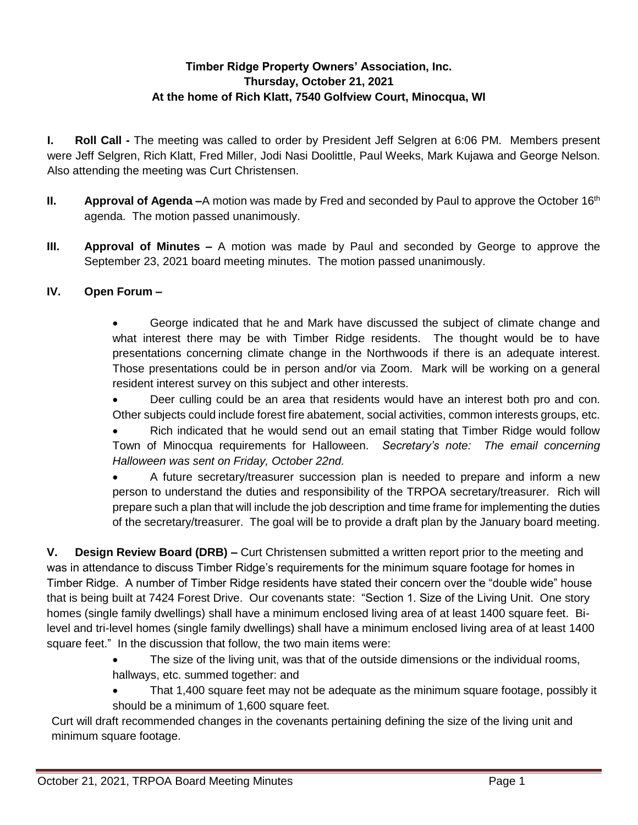# **Timber Ridge Property Owners' Association, Inc. Thursday, October 21, 2021 At the home of Rich Klatt, 7540 Golfview Court, Minocqua, WI**

**I. Roll Call -** The meeting was called to order by President Jeff Selgren at 6:06 PM. Members present were Jeff Selgren, Rich Klatt, Fred Miller, Jodi Nasi Doolittle, Paul Weeks, Mark Kujawa and George Nelson. Also attending the meeting was Curt Christensen.

- **II. Approval of Agenda –**A motion was made by Fred and seconded by Paul to approve the October 16<sup>th</sup> agenda. The motion passed unanimously.
- **III. Approval of Minutes –** A motion was made by Paul and seconded by George to approve the September 23, 2021 board meeting minutes. The motion passed unanimously.

# **IV. Open Forum –**

 George indicated that he and Mark have discussed the subject of climate change and what interest there may be with Timber Ridge residents. The thought would be to have presentations concerning climate change in the Northwoods if there is an adequate interest. Those presentations could be in person and/or via Zoom. Mark will be working on a general resident interest survey on this subject and other interests.

 Deer culling could be an area that residents would have an interest both pro and con. Other subjects could include forest fire abatement, social activities, common interests groups, etc.

 Rich indicated that he would send out an email stating that Timber Ridge would follow Town of Minocqua requirements for Halloween. *Secretary's note: The email concerning Halloween was sent on Friday, October 22nd.* 

 A future secretary/treasurer succession plan is needed to prepare and inform a new person to understand the duties and responsibility of the TRPOA secretary/treasurer. Rich will prepare such a plan that will include the job description and time frame for implementing the duties of the secretary/treasurer. The goal will be to provide a draft plan by the January board meeting.

**V. Design Review Board (DRB) –** Curt Christensen submitted a written report prior to the meeting and was in attendance to discuss Timber Ridge's requirements for the minimum square footage for homes in Timber Ridge. A number of Timber Ridge residents have stated their concern over the "double wide" house that is being built at 7424 Forest Drive. Our covenants state: "Section 1. Size of the Living Unit. One story homes (single family dwellings) shall have a minimum enclosed living area of at least 1400 square feet. Bilevel and tri-level homes (single family dwellings) shall have a minimum enclosed living area of at least 1400 square feet." In the discussion that follow, the two main items were:

- The size of the living unit, was that of the outside dimensions or the individual rooms, hallways, etc. summed together: and
- That 1,400 square feet may not be adequate as the minimum square footage, possibly it should be a minimum of 1,600 square feet.

Curt will draft recommended changes in the covenants pertaining defining the size of the living unit and minimum square footage.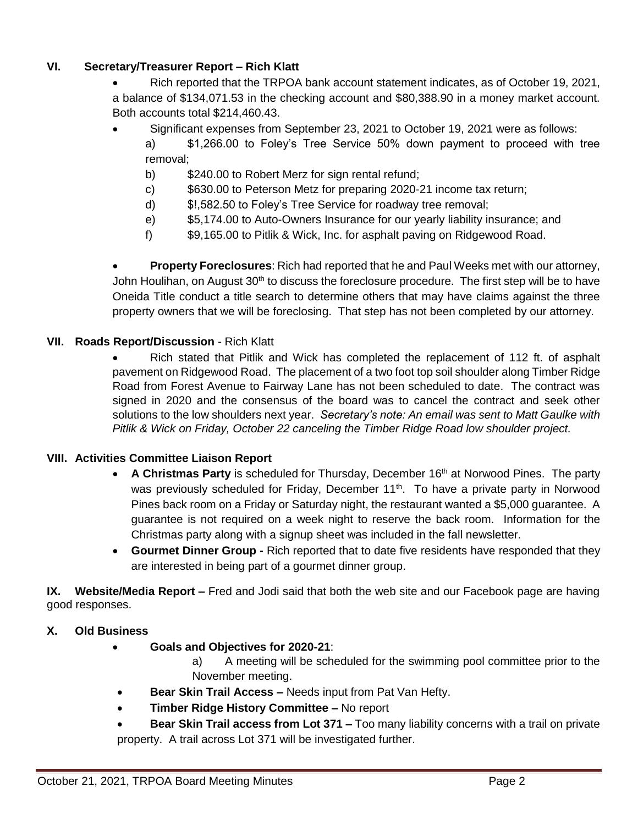### **VI. Secretary/Treasurer Report – Rich Klatt**

- Rich reported that the TRPOA bank account statement indicates, as of October 19, 2021, a balance of \$134,071.53 in the checking account and \$80,388.90 in a money market account. Both accounts total \$214,460.43.
- Significant expenses from September 23, 2021 to October 19, 2021 were as follows:
	- a) \$1,266.00 to Foley's Tree Service 50% down payment to proceed with tree removal;
		- b) \$240.00 to Robert Merz for sign rental refund;
		- c) \$630.00 to Peterson Metz for preparing 2020-21 income tax return;
		- d) \$!,582.50 to Foley's Tree Service for roadway tree removal;
		- e) \$5,174.00 to Auto-Owners Insurance for our yearly liability insurance; and
		- f) \$9,165.00 to Pitlik & Wick, Inc. for asphalt paving on Ridgewood Road.

 **Property Foreclosures**: Rich had reported that he and Paul Weeks met with our attorney, John Houlihan, on August 30<sup>th</sup> to discuss the foreclosure procedure. The first step will be to have Oneida Title conduct a title search to determine others that may have claims against the three property owners that we will be foreclosing. That step has not been completed by our attorney.

#### **VII. Roads Report/Discussion** - Rich Klatt

 Rich stated that Pitlik and Wick has completed the replacement of 112 ft. of asphalt pavement on Ridgewood Road. The placement of a two foot top soil shoulder along Timber Ridge Road from Forest Avenue to Fairway Lane has not been scheduled to date. The contract was signed in 2020 and the consensus of the board was to cancel the contract and seek other solutions to the low shoulders next year. *Secretary's note: An email was sent to Matt Gaulke with Pitlik & Wick on Friday, October 22 canceling the Timber Ridge Road low shoulder project.*

### **VIII. Activities Committee Liaison Report**

- A Christmas Party is scheduled for Thursday, December 16<sup>th</sup> at Norwood Pines. The party was previously scheduled for Friday, December 11<sup>th</sup>. To have a private party in Norwood Pines back room on a Friday or Saturday night, the restaurant wanted a \$5,000 guarantee. A guarantee is not required on a week night to reserve the back room. Information for the Christmas party along with a signup sheet was included in the fall newsletter.
- **Gourmet Dinner Group -** Rich reported that to date five residents have responded that they are interested in being part of a gourmet dinner group.

**IX. Website/Media Report –** Fred and Jodi said that both the web site and our Facebook page are having good responses.

### **X. Old Business**

- **Goals and Objectives for 2020-21**:
	- a) A meeting will be scheduled for the swimming pool committee prior to the November meeting.
- **Bear Skin Trail Access –** Needs input from Pat Van Hefty.
- **Timber Ridge History Committee –** No report
- **Bear Skin Trail access from Lot 371 –** Too many liability concerns with a trail on private property. A trail across Lot 371 will be investigated further.